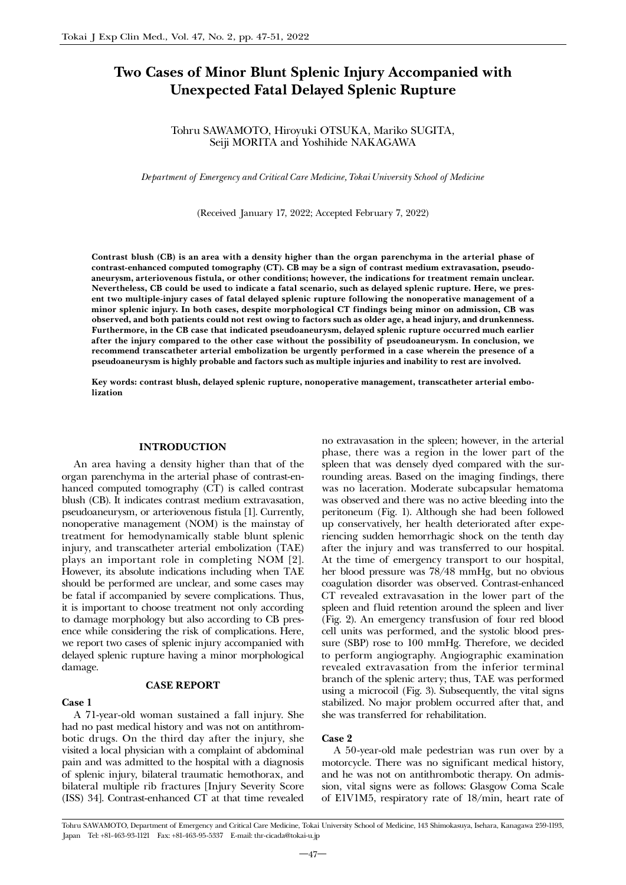# Two Cases of Minor Blunt Splenic Injury Accompanied with Unexpected Fatal Delayed Splenic Rupture

# Tohru SAWAMOTO, Hiroyuki OTSUKA, Mariko SUGITA, Seiji MORITA and Yoshihide NAKAGAWA

*Department of Emergency and Critical Care Medicine, Tokai University School of Medicine*

(Received January 17, 2022; Accepted February 7, 2022)

Contrast blush (CB) is an area with a density higher than the organ parenchyma in the arterial phase of contrast-enhanced computed tomography (CT). CB may be a sign of contrast medium extravasation, pseudoaneurysm, arteriovenous fistula, or other conditions; however, the indications for treatment remain unclear. Nevertheless, CB could be used to indicate a fatal scenario, such as delayed splenic rupture. Here, we present two multiple-injury cases of fatal delayed splenic rupture following the nonoperative management of a minor splenic injury. In both cases, despite morphological CT findings being minor on admission, CB was observed, and both patients could not rest owing to factors such as older age, a head injury, and drunkenness. Furthermore, in the CB case that indicated pseudoaneurysm, delayed splenic rupture occurred much earlier after the injury compared to the other case without the possibility of pseudoaneurysm. In conclusion, we recommend transcatheter arterial embolization be urgently performed in a case wherein the presence of a pseudoaneurysm is highly probable and factors such as multiple injuries and inability to rest are involved.

Key words: contrast blush, delayed splenic rupture, nonoperative management, transcatheter arterial embolization

## INTRODUCTION

An area having a density higher than that of the organ parenchyma in the arterial phase of contrast-enhanced computed tomography (CT) is called contrast blush (CB). It indicates contrast medium extravasation, pseudoaneurysm, or arteriovenous fistula [1]. Currently, nonoperative management (NOM) is the mainstay of treatment for hemodynamically stable blunt splenic injury, and transcatheter arterial embolization (TAE) plays an important role in completing NOM [2]. However, its absolute indications including when TAE should be performed are unclear, and some cases may be fatal if accompanied by severe complications. Thus, it is important to choose treatment not only according to damage morphology but also according to CB presence while considering the risk of complications. Here, we report two cases of splenic injury accompanied with delayed splenic rupture having a minor morphological damage.

# CASE REPORT

#### Case 1

A 71-year-old woman sustained a fall injury. She had no past medical history and was not on antithrombotic drugs. On the third day after the injury, she visited a local physician with a complaint of abdominal pain and was admitted to the hospital with a diagnosis of splenic injury, bilateral traumatic hemothorax, and bilateral multiple rib fractures [Injury Severity Score (ISS) 34]. Contrast-enhanced CT at that time revealed no extravasation in the spleen; however, in the arterial phase, there was a region in the lower part of the spleen that was densely dyed compared with the surrounding areas. Based on the imaging findings, there was no laceration. Moderate subcapsular hematoma was observed and there was no active bleeding into the peritoneum (Fig. 1). Although she had been followed up conservatively, her health deteriorated after experiencing sudden hemorrhagic shock on the tenth day after the injury and was transferred to our hospital. At the time of emergency transport to our hospital, her blood pressure was 78/48 mmHg, but no obvious coagulation disorder was observed. Contrast-enhanced CT revealed extravasation in the lower part of the spleen and fluid retention around the spleen and liver (Fig. 2). An emergency transfusion of four red blood cell units was performed, and the systolic blood pressure (SBP) rose to 100 mmHg. Therefore, we decided to perform angiography. Angiographic examination revealed extravasation from the inferior terminal branch of the splenic artery; thus, TAE was performed using a microcoil (Fig. 3). Subsequently, the vital signs stabilized. No major problem occurred after that, and she was transferred for rehabilitation.

## Case 2

A 50-year-old male pedestrian was run over by a motorcycle. There was no significant medical history, and he was not on antithrombotic therapy. On admission, vital signs were as follows: Glasgow Coma Scale of E1V1M5, respiratory rate of 18/min, heart rate of

Tohru SAWAMOTO, Department of Emergency and Critical Care Medicine, Tokai University School of Medicine, 143 Shimokasuya, Isehara, Kanagawa 259-1193, Japan Tel: +81-463-93-1121 Fax: +81-463-95-5337 E-mail: thr-cicada@tokai-u.jp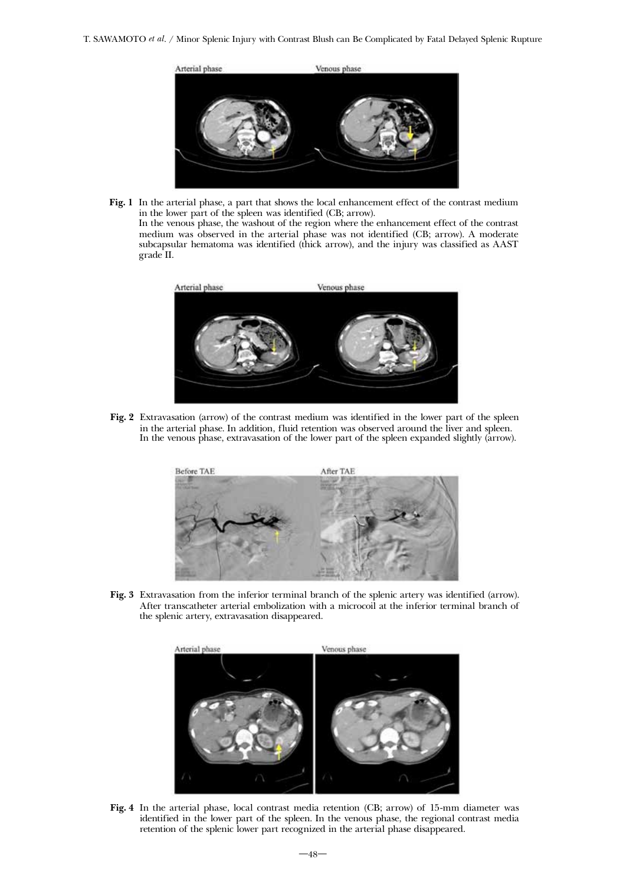T. SAWAMOTO *et al*. / Minor Splenic Injury with Contrast Blush can Be Complicated by Fatal Delayed Splenic Rupture



Fig. 1 In the arterial phase, a part that shows the local enhancement effect of the contrast medium in the lower part of the spleen was identified (CB; arrow). In the venous phase, the washout of the region where the enhancement effect of the contrast medium was observed in the arterial phase was not identified (CB; arrow). A moderate subcapsular hematoma was identified (thick arrow), and the injury was classified as AAST grade II.



Fig. 2 Extravasation (arrow) of the contrast medium was identified in the lower part of the spleen in the arterial phase. In addition, fluid retention was observed around the liver and spleen. In the venous phase, extravasation of the lower part of the spleen expanded slightly (arrow).



Fig. 3 Extravasation from the inferior terminal branch of the splenic artery was identified (arrow). After transcatheter arterial embolization with a microcoil at the inferior terminal branch of the splenic artery, extravasation disappeared.



Fig. 4 In the arterial phase, local contrast media retention (CB; arrow) of 15-mm diameter was identified in the lower part of the spleen. In the venous phase, the regional contrast media retention of the splenic lower part recognized in the arterial phase disappeared.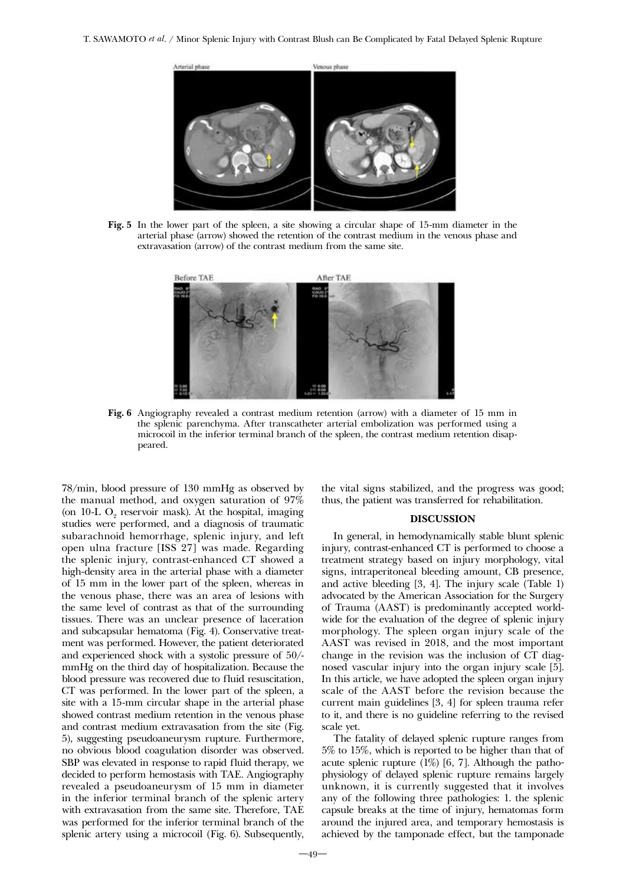

Fig. 5 In the lower part of the spleen, a site showing a circular shape of 15-mm diameter in the arterial phase (arrow) showed the retention of the contrast medium in the venous phase and extravasation (arrow) of the contrast medium from the same site.



Fig. 6 Angiography revealed a contrast medium retention (arrow) with a diameter of 15 mm in the splenic parenchyma. After transcatheter arterial embolization was performed using a microcoil in the inferior terminal branch of the spleen, the contrast medium retention disappeared.

78/min, blood pressure of 130 mmHg as observed by the manual method, and oxygen saturation of 97% (on  $10-L$  O<sub>2</sub> reservoir mask). At the hospital, imaging studies were performed, and a diagnosis of traumatic subarachnoid hemorrhage, splenic injury, and left open ulna fracture [ISS 27] was made. Regarding the splenic injury, contrast-enhanced CT showed a high-density area in the arterial phase with a diameter of 15 mm in the lower part of the spleen, whereas in the venous phase, there was an area of lesions with the same level of contrast as that of the surrounding tissues. There was an unclear presence of laceration and subcapsular hematoma (Fig. 4). Conservative treatment was performed. However, the patient deteriorated and experienced shock with a systolic pressure of 50/ mmHg on the third day of hospitalization. Because the blood pressure was recovered due to fluid resuscitation, CT was performed. In the lower part of the spleen, a site with a 15-mm circular shape in the arterial phase showed contrast medium retention in the venous phase and contrast medium extravasation from the site (Fig. 5), suggesting pseudoaneurysm rupture. Furthermore, no obvious blood coagulation disorder was observed. SBP was elevated in response to rapid fluid therapy, we decided to perform hemostasis with TAE. Angiography revealed a pseudoaneurysm of 15 mm in diameter in the inferior terminal branch of the splenic artery with extravasation from the same site. Therefore, TAE was performed for the inferior terminal branch of the splenic artery using a microcoil (Fig. 6). Subsequently,

the vital signs stabilized, and the progress was good; thus, the patient was transferred for rehabilitation.

## DISCUSSION

In general, in hemodynamically stable blunt splenic injury, contrast-enhanced CT is performed to choose a treatment strategy based on injury morphology, vital signs, intraperitoneal bleeding amount, CB presence, and active bleeding [3, 4]. The injury scale (Table 1) advocated by the American Association for the Surgery of Trauma (AAST) is predominantly accepted worldwide for the evaluation of the degree of splenic injury morphology. The spleen organ injury scale of the AAST was revised in 2018, and the most important change in the revision was the inclusion of CT diagnosed vascular injury into the organ injury scale [5]. In this article, we have adopted the spleen organ injury scale of the AAST before the revision because the current main guidelines [3, 4] for spleen trauma refer to it, and there is no guideline referring to the revised scale yet.

The fatality of delayed splenic rupture ranges from 5% to 15%, which is reported to be higher than that of acute splenic rupture (1%) [6, 7]. Although the pathophysiology of delayed splenic rupture remains largely unknown, it is currently suggested that it involves any of the following three pathologies: 1. the splenic capsule breaks at the time of injury, hematomas form around the injured area, and temporary hemostasis is achieved by the tamponade effect, but the tamponade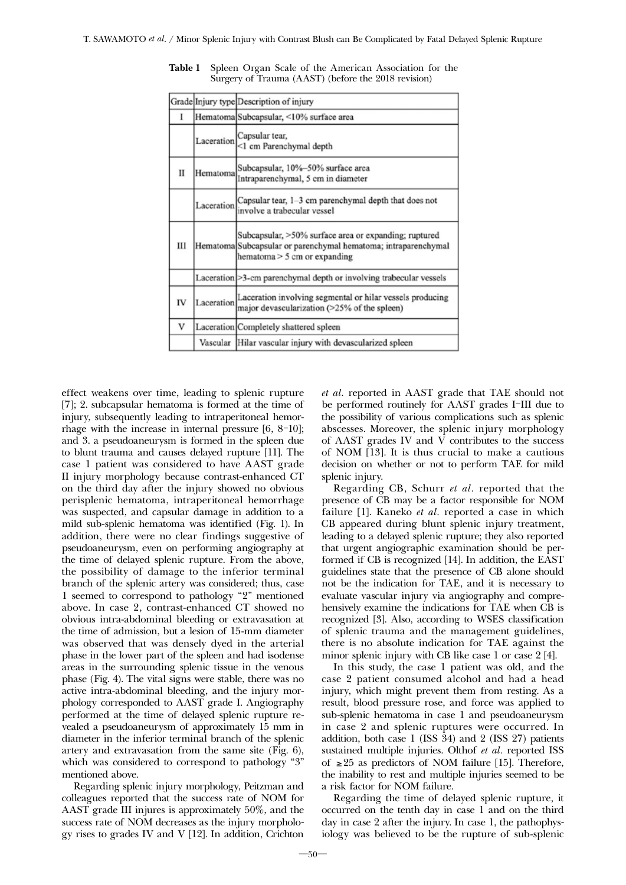|             |            | Grade Injury type Description of injury                                                                                                                   |
|-------------|------------|-----------------------------------------------------------------------------------------------------------------------------------------------------------|
| I           |            | Hematoma Subcapsular, <10% surface area                                                                                                                   |
|             | Laceration | Capsular tear,<br><1 cm Parenchymal depth                                                                                                                 |
| $_{\rm II}$ | Hematoma   | Subcapsular, 10%-50% surface area<br>Intraparenchymal, 5 cm in diameter                                                                                   |
|             |            | Laceration $\begin{bmatrix} \text{Capsular tear, } 1-3 \text{ cm parenchymal depth that does not} \end{bmatrix}$<br>involve a trabecular vessel           |
| Ш           |            | Subcapsular, >50% surface area or expanding; ruptured<br>Hematoma Subcapsular or parenchymal hematoma; intraparenchymal<br>hematoma $> 5$ cm or expanding |
|             |            | Laceration > 3-cm parenchymal depth or involving trabecular vessels                                                                                       |
| IV          | Laceration | Laceration involving segmental or hilar vessels producing<br>major devascularization (>25% of the spleen)                                                 |
| V           |            | Laceration Completely shattered spleen                                                                                                                    |
|             |            | Vascular Hilar vascular injury with devascularized spleen                                                                                                 |

Table 1 Spleen Organ Scale of the American Association for the Surgery of Trauma (AAST) (before the 2018 revision)

effect weakens over time, leading to splenic rupture [7]; 2. subcapsular hematoma is formed at the time of injury, subsequently leading to intraperitoneal hemorrhage with the increase in internal pressure [6, 8-10]; and 3. a pseudoaneurysm is formed in the spleen due to blunt trauma and causes delayed rupture [11]. The case 1 patient was considered to have AAST grade II injury morphology because contrast-enhanced CT on the third day after the injury showed no obvious perisplenic hematoma, intraperitoneal hemorrhage was suspected, and capsular damage in addition to a mild sub-splenic hematoma was identified (Fig. 1). In addition, there were no clear findings suggestive of pseudoaneurysm, even on performing angiography at the time of delayed splenic rupture. From the above, the possibility of damage to the inferior terminal branch of the splenic artery was considered; thus, case 1 seemed to correspond to pathology "2" mentioned above. In case 2, contrast-enhanced CT showed no obvious intra-abdominal bleeding or extravasation at the time of admission, but a lesion of 15-mm diameter was observed that was densely dyed in the arterial phase in the lower part of the spleen and had isodense areas in the surrounding splenic tissue in the venous phase (Fig. 4). The vital signs were stable, there was no active intra-abdominal bleeding, and the injury morphology corresponded to AAST grade I. Angiography performed at the time of delayed splenic rupture revealed a pseudoaneurysm of approximately 15 mm in diameter in the inferior terminal branch of the splenic artery and extravasation from the same site (Fig. 6), which was considered to correspond to pathology "3" mentioned above.

Regarding splenic injury morphology, Peitzman and colleagues reported that the success rate of NOM for AAST grade III injures is approximately 50%, and the success rate of NOM decreases as the injury morphology rises to grades IV and V [12]. In addition, Crichton *et al.* reported in AAST grade that TAE should not be performed routinely for AAST grades I-III due to the possibility of various complications such as splenic abscesses. Moreover, the splenic injury morphology of AAST grades IV and  $\overline{V}$  contributes to the success of NOM [13]. It is thus crucial to make a cautious decision on whether or not to perform TAE for mild splenic injury.

Regarding CB, Schurr *et al.* reported that the presence of CB may be a factor responsible for NOM failure [1]. Kaneko *et al.* reported a case in which CB appeared during blunt splenic injury treatment, leading to a delayed splenic rupture; they also reported that urgent angiographic examination should be performed if CB is recognized [14]. In addition, the EAST guidelines state that the presence of CB alone should not be the indication for TAE, and it is necessary to evaluate vascular injury via angiography and comprehensively examine the indications for TAE when CB is recognized [3]. Also, according to WSES classification of splenic trauma and the management guidelines, there is no absolute indication for TAE against the minor splenic injury with CB like case 1 or case 2 [4].

In this study, the case 1 patient was old, and the case 2 patient consumed alcohol and had a head injury, which might prevent them from resting. As a result, blood pressure rose, and force was applied to sub-splenic hematoma in case 1 and pseudoaneurysm in case 2 and splenic ruptures were occurred. In addition, both case 1 (ISS 34) and 2 (ISS 27) patients sustained multiple injuries. Olthof *et al.* reported ISS of ≥25 as predictors of NOM failure [15]. Therefore, the inability to rest and multiple injuries seemed to be a risk factor for NOM failure.

Regarding the time of delayed splenic rupture, it occurred on the tenth day in case 1 and on the third day in case 2 after the injury. In case 1, the pathophysiology was believed to be the rupture of sub-splenic